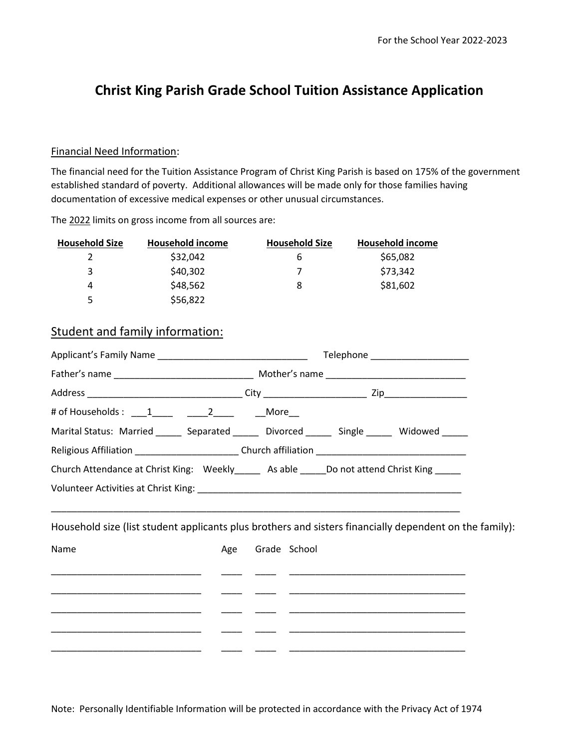## **Christ King Parish Grade School Tuition Assistance Application**

## Financial Need Information:

The financial need for the Tuition Assistance Program of Christ King Parish is based on 175% of the government established standard of poverty. Additional allowances will be made only for those families having documentation of excessive medical expenses or other unusual circumstances.

The 2022 limits on gross income from all sources are:

| <b>Household Size</b> | Household income | <b>Household Size</b> | <b>Household income</b> |
|-----------------------|------------------|-----------------------|-------------------------|
|                       | \$32,042         | b                     | \$65,082                |
| 3                     | \$40,302         |                       | \$73,342                |
| 4                     | \$48,562         | 8                     | \$81,602                |
| 5                     | \$56,822         |                       |                         |

## Student and family information:

|                                                                                                                 |                  |  |                                                                                                                        | Telephone _______________________ |  |  |
|-----------------------------------------------------------------------------------------------------------------|------------------|--|------------------------------------------------------------------------------------------------------------------------|-----------------------------------|--|--|
|                                                                                                                 |                  |  |                                                                                                                        |                                   |  |  |
|                                                                                                                 |                  |  |                                                                                                                        |                                   |  |  |
| # of Households : ____1______ ______2______   ___More___                                                        |                  |  |                                                                                                                        |                                   |  |  |
| Marital Status: Married _______ Separated ______ Divorced ______ Single ______ Widowed _____                    |                  |  |                                                                                                                        |                                   |  |  |
|                                                                                                                 |                  |  |                                                                                                                        |                                   |  |  |
| Church Attendance at Christ King: Weekly_____ As able _____Do not attend Christ King _____                      |                  |  |                                                                                                                        |                                   |  |  |
|                                                                                                                 |                  |  |                                                                                                                        |                                   |  |  |
| Household size (list student applicants plus brothers and sisters financially dependent on the family):<br>Name | Age Grade School |  | <u> 1989 - Johann John Stein, markin fan it ferskearre fan it ferskearre fan it ferskearre fan it ferskearre fan i</u> |                                   |  |  |
|                                                                                                                 |                  |  | the control of the control of the control of the control of the control of the control of                              |                                   |  |  |
|                                                                                                                 |                  |  |                                                                                                                        |                                   |  |  |